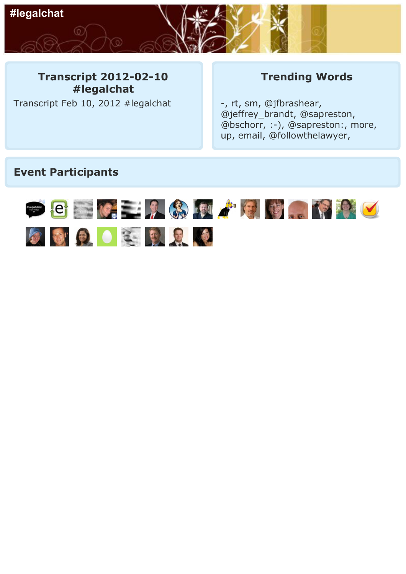

## **Transcript 2012-02-10 #legalchat**

Transcript Feb 10, 2012 #legalchat

## **Trending Words**

-, rt, sm, @jfbrashear, @jeffrey\_brandt, @sapreston, @bschorr, :-), @sapreston:, more, up, email, @followthelawyer,

## **Event Participants**

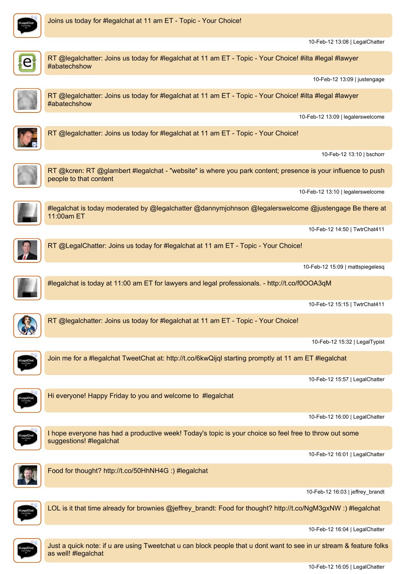

10-Feb-12 13:08 | LegalChatter

#abatechshow 10-Feb-12 13:09 | justengage RT @legalchatter: Joins us today for #legalchat at 11 am ET - Topic - Your Choice! #ilta #legal #lawyer #abatechshow 10-Feb-12 13:09 | legalerswelcome RT @legalchatter: Joins us today for #legalchat at 11 am ET - Topic - Your Choice! 10-Feb-12 13:10 | bschorr RT @kcren: RT @glambert #legalchat - "website" is where you park content; presence is your influence to push people to that content 10-Feb-12 13:10 | legalerswelcome #legalchat is today moderated by @legalchatter @dannymjohnson @legalerswelcome @justengage Be there at 11:00am ET 10-Feb-12 14:50 | TwtrChat411 RT @LegalChatter: Joins us today for #legalchat at 11 am ET - Topic - Your Choice! 10-Feb-12 15:09 | mattspiegelesq #legalchat is today at 11:00 am ET for lawyers and legal professionals. - http://t.co/f0OOA3qM 10-Feb-12 15:15 | TwtrChat411 RT @legalchatter: Joins us today for #legalchat at 11 am ET - Topic - Your Choice! 10-Feb-12 15:32 | LegalTypist Join me for <sup>a</sup> #legalchat TweetChat at: http://t.co/6kwQijql starting promptly at 11 am ET #legalchat 10-Feb-12 15:57 | LegalChatter Hi everyone! Happy Friday to you and welcome to #legalchat 10-Feb-12 16:00 | LegalChatter I hope everyone has had <sup>a</sup> productive week! Today's topic is your choice so feel free to throw out some suggestions! #legalchat 10-Feb-12 16:01 | LegalChatter Food for thought? http://t.co/50HhNH4G :) #legalchat 10-Feb-12 16:03 | jeffrey\_brandt LOL is it that time already for brownies @jeffrey\_brandt: Food for thought? http://t.co/NgM3gxNW :) #legalchat

RT @legalchatter: Joins us today for #legalchat at 11 am ET - Topic - Your Choice! #ilta #legal #lawyer



Just <sup>a</sup> quick note: if <sup>u</sup> are using Tweetchat <sup>u</sup> can block people that <sup>u</sup> dont want to see in ur stream & feature folks as well! #legalchat

10-Feb-12 16:04 | LegalChatter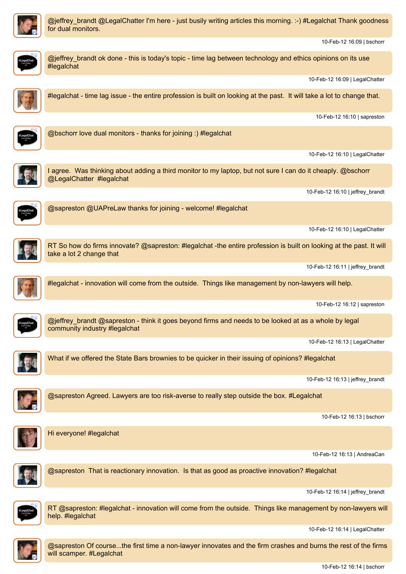

@jeffrey\_brandt @LegalChatter I'm here - just busily writing articles this morning. :-) #Legalchat Thank goodness for dual monitors.

@jeffrey\_brandt ok done - this is today's topic - time lag between technology and ethics opinions on its use

10-Feb-12 16:09 | bschorr



#legalchat

10-Feb-12 16:09 | LegalChatter #legalchat - time lag issue - the entire profession is built on looking at the past. It will take <sup>a</sup> lot to change that. 10-Feb-12 16:10 | sapreston @bschorr love dual monitors - thanks for joining :) #legalchat 10-Feb-12 16:10 | LegalChatter I agree. Was thinking about adding <sup>a</sup> third monitor to my laptop, but not sure I can do it cheaply. @bschorr @LegalChatter #legalchat 10-Feb-12 16:10 | jeffrey\_brandt @sapreston @UAPreLaw thanks for joining - welcome! #legalchat 10-Feb-12 16:10 | LegalChatter RT So how do firms innovate? @sapreston: #legalchat -the entire profession is built on looking at the past. It will take <sup>a</sup> lot 2 change that 10-Feb-12 16:11 | jeffrey\_brandt #legalchat - innovation will come from the outside. Things like management by non-lawyers will help. 10-Feb-12 16:12 | sapreston @jeffrey\_brandt @sapreston - think it goes beyond firms and needs to be looked at as <sup>a</sup> whole by legal community industry #legalchat 10-Feb-12 16:13 | LegalChatter What if we offered the State Bars brownies to be quicker in their issuing of opinions? #legalchat 10-Feb-12 16:13 | jeffrey\_brandt @sapreston Agreed. Lawyers are too risk-averse to really step outside the box. #Legalchat 10-Feb-12 16:13 | bschorr



Hi everyone! #legalchat

10-Feb-12 16:13 | AndreaCan



@sapreston That is reactionary innovation. Is that as good as proactive innovation? #legalchat

10-Feb-12 16:14 | jeffrey\_brandt



RT @sapreston: #legalchat - innovation will come from the outside. Things like management by non-lawyers will help. #legalchat

10-Feb-12 16:14 | LegalChatter



@sapreston Of course...the first time <sup>a</sup> non-lawyer innovates and the firm crashes and burns the rest of the firms will scamper. #Legalchat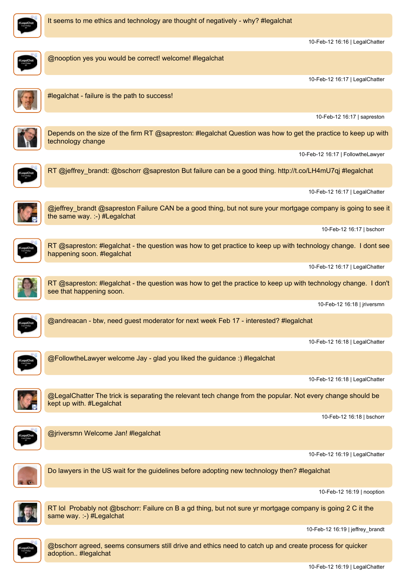

10-Feb-12 16:16 | LegalChatter

10-Feb-12 16:17 | LegalChatter

10-Feb-12 16:17 | sapreston

10-Feb-12 16:17 | FollowtheLawyer

10-Feb-12 16:17 | LegalChatter

10-Feb-12 16:17 | bschorr

@nooption yes you would be correct! welcome! #legalchat #legalchat - failure is the path to success! Depends on the size of the firm RT @sapreston: #legalchat Question was how to get the practice to keep up with technology change RT @jeffrey\_brandt: @bschorr @sapreston But failure can be <sup>a</sup> good thing. http://t.co/LH4mU7qj #legalchat @jeffrey\_brandt @sapreston Failure CAN be <sup>a</sup> good thing, but not sure your mortgage company is going to see it the same way. :-) #Legalchat RT @sapreston: #legalchat - the question was how to get practice to keep up with technology change. I dont see happening soon. #legalchat

RT @sapreston: #legalchat - the question was how to get the practice to keep up with technology change. I don't see that happening soon.

10-Feb-12 16:18 | jriversmn

10-Feb-12 16:17 | LegalChatter



@andreacan - btw, need guest moderator for next week Feb 17 - interested? #legalchat

@FollowtheLawyer welcome Jay - glad you liked the guidance :) #legalchat

10-Feb-12 16:18 | LegalChatter

10-Feb-12 16:18 | LegalChatter



@LegalChatter The trick is separating the relevant tech change from the popular. Not every change should be kept up with. #Legalchat

10-Feb-12 16:18 | bschorr



@jriversmn Welcome Jan! #legalchat

10-Feb-12 16:19 | LegalChatter



Do lawyers in the US wait for the guidelines before adopting new technology then? #legalchat

10-Feb-12 16:19 | nooption



RT lol Probably not @bschorr: Failure cn B <sup>a</sup> gd thing, but not sure yr mortgage company is going 2 C it the same way. :-) #Legalchat

10-Feb-12 16:19 | jeffrey\_brandt



@bschorr agreed, seems consumers still drive and ethics need to catch up and create process for quicker adoption.. #legalchat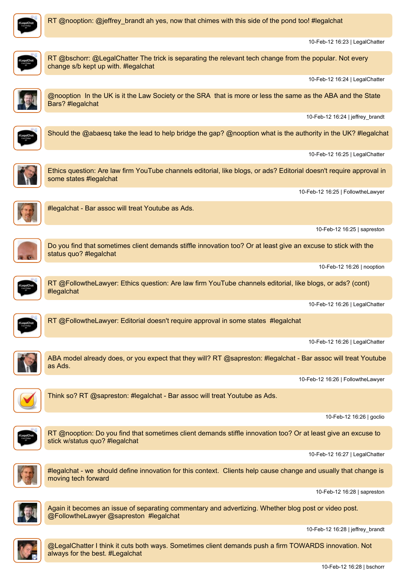

RT @nooption: @jeffrey brandt ah yes, now that chimes with this side of the pond too! #legalchat

10-Feb-12 16:23 | LegalChatter



RT @bschorr: @LegalChatter The trick is separating the relevant tech change from the popular. Not every change s/b kept up with. #legalchat

10-Feb-12 16:24 | LegalChatter



@nooption In the UK is it the Law Society or the SRA that is more or less the same as the ABA and the State Bars? #legalchat

10-Feb-12 16:24 | jeffrey\_brandt



Should the @abaesq take the lead to help bridge the gap? @nooption what is the authority in the UK? #legalchat

10-Feb-12 16:25 | LegalChatter



Ethics question: Are law firm YouTube channels editorial, like blogs, or ads? Editorial doesn't require approval in some states #legalchat

10-Feb-12 16:25 | FollowtheLawyer



#legalchat - Bar assoc will treat Youtube as Ads.

10-Feb-12 16:25 | sapreston



Do you find that sometimes client demands stiffle innovation too? Or at least give an excuse to stick with the status quo? #legalchat

10-Feb-12 16:26 | nooption



RT @FollowtheLawyer: Ethics question: Are law firm YouTube channels editorial, like blogs, or ads? (cont) #legalchat

10-Feb-12 16:26 | LegalChatter



RT @FollowtheLawyer: Editorial doesn't require approval in some states #legalchat

10-Feb-12 16:26 | LegalChatter



ABA model already does, or you expect that they will? RT @sapreston: #legalchat - Bar assoc will treat Youtube as Ads.

10-Feb-12 16:26 | FollowtheLawyer



Think so? RT @sapreston: #legalchat - Bar assoc will treat Youtube as Ads.

10-Feb-12 16:26 | goclio



RT @nooption: Do you find that sometimes client demands stiffle innovation too? Or at least give an excuse to stick w/status quo? #legalchat

10-Feb-12 16:27 | LegalChatter



#legalchat - we should define innovation for this context. Clients help cause change and usually that change is moving tech forward

10-Feb-12 16:28 | sapreston



Again it becomes an issue of separating commentary and advertizing. Whether blog post or video post. @FollowtheLawyer @sapreston #legalchat

10-Feb-12 16:28 | jeffrey\_brandt



@LegalChatter I think it cuts both ways. Sometimes client demands push <sup>a</sup> firm TOWARDS innovation. Not always for the best. #Legalchat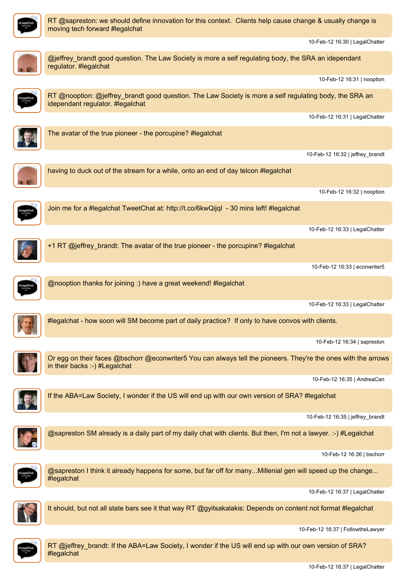

moving tech forward #legalchat

10-Feb-12 16:30 | LegalChatter @jeffrey\_brandt good question. The Law Society is more <sup>a</sup> self regulating body, the SRA an idependant regulator. #legalchat 10-Feb-12 16:31 | nooption RT @nooption: @jeffrey\_brandt good question. The Law Society is more <sup>a</sup> self regulating body, the SRA an idependant regulator. #legalchat 10-Feb-12 16:31 | LegalChatter The avatar of the true pioneer - the porcupine? #legalchat 10-Feb-12 16:32 | jeffrey\_brandt having to duck out of the stream for <sup>a</sup> while, onto an end of day telcon #legalchat 10-Feb-12 16:32 | nooption Join me for <sup>a</sup> #legalchat TweetChat at: http://t.co/6kwQijql - 30 mins left! #legalchat 10-Feb-12 16:33 | LegalChatter +1 RT @jeffrey\_brandt: The avatar of the true pioneer - the porcupine? #legalchat 10-Feb-12 16:33 | econwriter5 @nooption thanks for joining :) have <sup>a</sup> great weekend! #legalchat 10-Feb-12 16:33 | LegalChatter #legalchat - how soon will SM become part of daily practice? If only to have convos with clients. 10-Feb-12 16:34 | sapreston Or egg on their faces @bschorr @econwriter5 You can always tell the pioneers. They're the ones with the arrows in their backs :-) #Legalchat 10-Feb-12 16:35 | AndreaCan If the ABA=Law Society, I wonder if the US will end up with our own version of SRA? #legalchat 10-Feb-12 16:35 | jeffrey\_brandt @sapreston SM already is <sup>a</sup> daily part of my daily chat with clients. But then, I'm not <sup>a</sup> lawyer. :-) #Legalchat 10-Feb-12 16:36 | bschorr @sapreston I think it already happens for some, but far off for many...Millenial gen will speed up the change... #legalchat 10-Feb-12 16:37 | LegalChatter It should, but not all state bars see it that way RT @gyitsakalakis: Depends on content not format #legalchat 10-Feb-12 16:37 | FollowtheLawyer

RT @sapreston: we should define innovation for this context. Clients help cause change & usually change is



RT @jeffrey\_brandt: If the ABA=Law Society, I wonder if the US will end up with our own version of SRA? #legalchat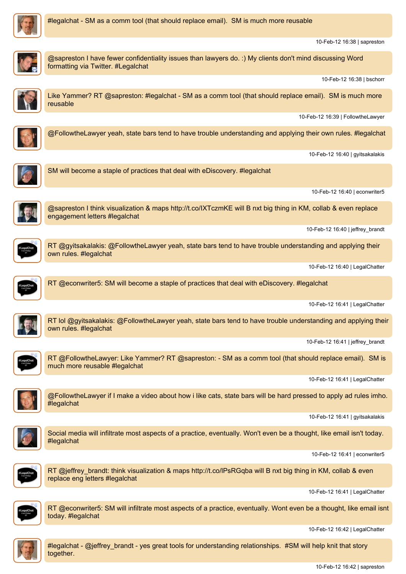



10-Feb-12 16:38 | sapreston @sapreston I have fewer confidentiality issues than lawyers do. :) My clients don't mind discussing Word formatting via Twitter. #Legalchat 10-Feb-12 16:38 | bschorr Like Yammer? RT @sapreston: #legalchat - SM as a comm tool (that should replace email). SM is much more reusable 10-Feb-12 16:39 | FollowtheLawyer @FollowtheLawyer yeah, state bars tend to have trouble understanding and applying their own rules. #legalchat 10-Feb-12 16:40 | gyitsakalakis SM will become <sup>a</sup> staple of practices that deal with eDiscovery. #legalchat 10-Feb-12 16:40 | econwriter5 @sapreston I think visualization & maps http://t.co/IXTczmKE will Bnxt big thing in KM, collab & even replace engagement letters #legalchat 10-Feb-12 16:40 | jeffrey\_brandt RT @gyitsakalakis: @FollowtheLawyer yeah, state bars tend to have trouble understanding and applying their own rules. #legalchat 10-Feb-12 16:40 | LegalChatter RT @econwriter5: SM will become <sup>a</sup> staple of practices that deal with eDiscovery. #legalchat



10-Feb-12 16:41 | LegalChatter



RT lol @gyitsakalakis: @FollowtheLawyer yeah, state bars tend to have trouble understanding and applying their own rules. #legalchat

10-Feb-12 16:41 | jeffrey\_brandt



RT @FollowtheLawyer: Like Yammer? RT @sapreston: - SM as <sup>a</sup> comm tool (that should replace email). SM is much more reusable #legalchat

10-Feb-12 16:41 | LegalChatter

@FollowtheLawyer if I make <sup>a</sup> video about how i like cats, state bars will be hard pressed to apply ad rules imho. #legalchat

10-Feb-12 16:41 | gyitsakalakis



Social media will infiltrate most aspects of <sup>a</sup> practice, eventually. Won't even be <sup>a</sup> thought, like email isn't today. #legalchat

10-Feb-12 16:41 | econwriter5



RT @jeffrey\_brandt: think visualization & maps http://t.co/lPsRGqba will B nxt big thing in KM, collab & even replace eng letters #legalchat

10-Feb-12 16:41 | LegalChatter



RT @econwriter5: SM will infiltrate most aspects of <sup>a</sup> practice, eventually. Wont even be <sup>a</sup> thought, like email isnt today. #legalchat

10-Feb-12 16:42 | LegalChatter



#legalchat - @jeffrey\_brandt - yes great tools for understanding relationships. #SM will help knit that story together.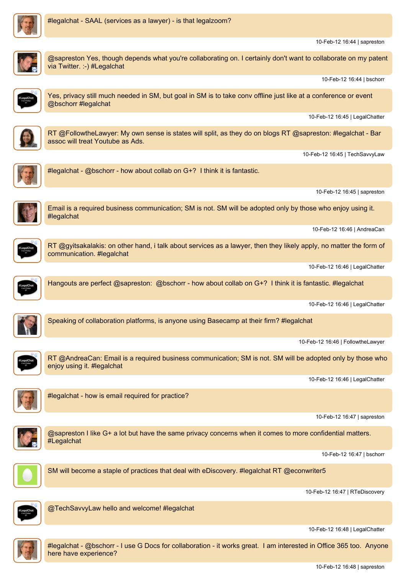

10-Feb-12 16:44 | sapreston



@sapreston Yes, though depends what you're collaborating on. I certainly don't want to collaborate on my patent via Twitter. :-) #Legalchat 10-Feb-12 16:44 | bschorr Yes, privacy still much needed in SM, but goal in SM is to take conv offline just like at <sup>a</sup> conference or event @bschorr #legalchat 10-Feb-12 16:45 | LegalChatter RT @FollowtheLawyer: My own sense is states will split, as they do on blogs RT @sapreston: #legalchat - Bar assoc will treat Youtube as Ads. 10-Feb-12 16:45 | TechSavvyLaw #legalchat - @bschorr - how about collab on G+? I think it is fantastic. 10-Feb-12 16:45 | sapreston Email is <sup>a</sup> required business communication; SM is not. SM will be adopted only by those who enjoy using it. #legalchat 10-Feb-12 16:46 | AndreaCan RT @gyitsakalakis: on other hand, i talk about services as <sup>a</sup> lawyer, then they likely apply, no matter the form of communication. #legalchat 10-Feb-12 16:46 | LegalChatter Hangouts are perfect @sapreston: @bschorr - how about collab on G+? I think it is fantastic. #legalchat 10-Feb-12 16:46 | LegalChatter Speaking of collaboration platforms, is anyone using Basecamp at their firm? #legalchat 10-Feb-12 16:46 | FollowtheLawyer RT @AndreaCan: Email is <sup>a</sup> required business communication; SM is not. SM will be adopted only by those who enjoy using it. #legalchat 10-Feb-12 16:46 | LegalChatter #legalchat - how is email required for practice? 10-Feb-12 16:47 | sapreston @sapreston I like G+ <sup>a</sup> lot but have the same privacy concerns when it comes to more confidential matters. #Legalchat 10-Feb-12 16:47 | bschorr SM will become <sup>a</sup> staple of practices that deal with eDiscovery. #legalchat RT @econwriter5 10-Feb-12 16:47 | RTeDiscovery @TechSavvyLaw hello and welcome! #legalchat

10-Feb-12 16:48 | LegalChatter



#legalchat - @bschorr - I use G Docs for collaboration - it works great. I am interested in Office 365 too. Anyone here have experience?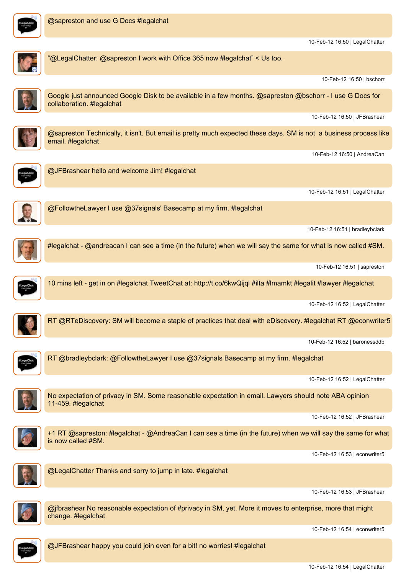

10-Feb-12 16:50 | LegalChatter

"@LegalChatter: @sapreston I work with Office 365 now #legalchat" <sup>&</sup>lt; Us too. 10-Feb-12 16:50 | bschorr Google just announced Google Disk to be available in <sup>a</sup> few months. @sapreston @bschorr - I use G Docs for collaboration. #legalchat 10-Feb-12 16:50 | JFBrashear @sapreston Technically, it isn't. But email is pretty much expected these days. SM is not <sup>a</sup> business process like email. #legalchat 10-Feb-12 16:50 | AndreaCan @JFBrashear hello and welcome Jim! #legalchat 10-Feb-12 16:51 | LegalChatter @FollowtheLawyer I use @37signals' Basecamp at my firm. #legalchat 10-Feb-12 16:51 | bradleybclark #legalchat - @andreacan I can see <sup>a</sup> time (in the future) when we will say the same for what is now called #SM. 10-Feb-12 16:51 | sapreston 10 mins left - get in on #legalchat TweetChat at: http://t.co/6kwQijql #ilta #lmamkt #legalit #lawyer #legalchat 10-Feb-12 16:52 | LegalChatter RT @RTeDiscovery: SM will become <sup>a</sup> staple of practices that deal with eDiscovery. #legalchat RT @econwriter5 10-Feb-12 16:52 | baronessddb RT @bradleybclark: @FollowtheLawyer I use @37signals Basecamp at my firm. #legalchat 10-Feb-12 16:52 | LegalChatter No expectation of privacy in SM. Some reasonable expectation in email. Lawyers should note ABA opinion 11-459. #legalchat 10-Feb-12 16:52 | JFBrashear +1 RT @sapreston: #legalchat - @AndreaCan I can see <sup>a</sup> time (in the future) when we will say the same for what is now called #SM. 10-Feb-12 16:53 | econwriter5 @LegalChatter Thanks and sorry to jump in late. #legalchat 10-Feb-12 16:53 | JFBrashear @jfbrashear No reasonable expectation of #privacy in SM, yet. More it moves to enterprise, more that might change. #legalchat 10-Feb-12 16:54 | econwriter5 @JFBrashear happy you could join even for <sup>a</sup> bit! no worries! #legalchat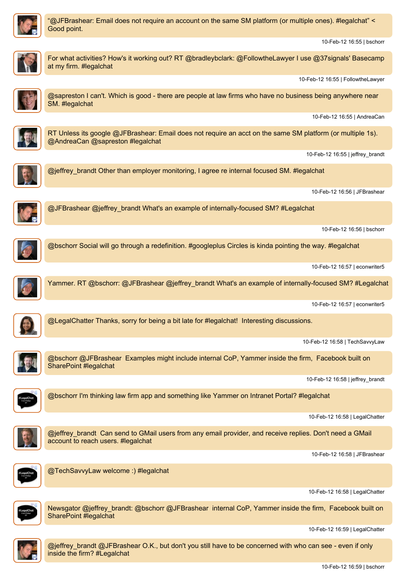

"@JFBrashear: Email does not require an account on the same SM platform (or multiple ones). #legalchat" <sup>&</sup>lt; Good point.

For what activities? How's it working out? RT @bradleybclark: @FollowtheLawyer I use @37signals' Basecamp

10-Feb-12 16:55 | bschorr

at my firm. #legalchat

10-Feb-12 16:55 | FollowtheLawyer @sapreston I can't. Which is good - there are people at law firms who have no business being anywhere near SM. #legalchat 10-Feb-12 16:55 | AndreaCan RT Unless its google @JFBrashear: Email does not require an acct on the same SM platform (or multiple 1s). @AndreaCan @sapreston #legalchat 10-Feb-12 16:55 | jeffrey\_brandt @jeffrey\_brandt Other than employer monitoring, I agree re internal focused SM. #legalchat 10-Feb-12 16:56 | JFBrashear @JFBrashear @jeffrey\_brandt What's an example of internally-focused SM? #Legalchat 10-Feb-12 16:56 | bschorr @bschorr Social will go through <sup>a</sup> redefinition. #googleplus Circles is kinda pointing the way. #legalchat 10-Feb-12 16:57 | econwriter5 Yammer. RT @bschorr: @JFBrashear @jeffrey\_brandt What's an example of internally-focused SM? #Legalchat 10-Feb-12 16:57 | econwriter5 @LegalChatter Thanks, sorry for being <sup>a</sup> bit late for #legalchat! Interesting discussions. 10-Feb-12 16:58 | TechSavvyLaw @bschorr @JFBrashear Examples might include internal CoP, Yammer inside the firm, Facebook built on SharePoint #legalchat 10-Feb-12 16:58 | jeffrey\_brandt @bschorr I'm thinking law firm app and something like Yammer on Intranet Portal? #legalchat 10-Feb-12 16:58 | LegalChatter @jeffrey\_brandt Can send to GMail users from any email provider, and receive replies. Don't need <sup>a</sup> GMail account to reach users. #legalchat 10-Feb-12 16:58 | JFBrashear @TechSavvyLaw welcome :) #legalchat 10-Feb-12 16:58 | LegalChatter Newsgator @jeffrey\_brandt: @bschorr @JFBrashear internal CoP, Yammer inside the firm, Facebook built on SharePoint #legalchat 10-Feb-12 16:59 | LegalChatter



@jeffrey\_brandt @JFBrashear O.K., but don't you still have to be concerned with who can see - even if only inside the firm? #Legalchat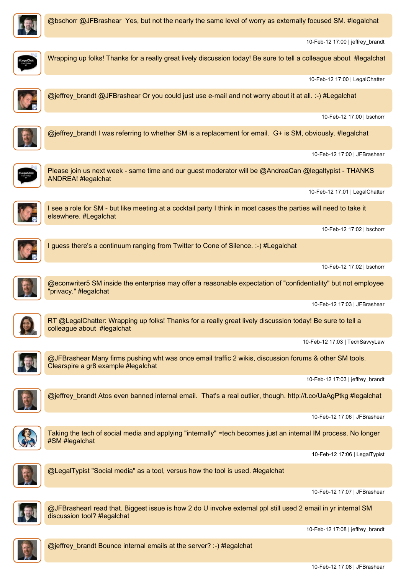

@bschorr @JFBrashear Yes, but not the nearly the same level of worry as externally focused SM. #legalchat

10-Feb-12 17:00 | jeffrey\_brandt



Wrapping up folks! Thanks for <sup>a</sup> really great lively discussion today! Be sure to tell <sup>a</sup> colleague about #legalchat 10-Feb-12 17:00 | LegalChatter @jeffrey\_brandt @JFBrashear Or you could just use e-mail and not worry about it at all. :-) #Legalchat 10-Feb-12 17:00 | bschorr @jeffrey\_brandt I was referring to whether SM is a replacement for email. G+ is SM, obviously. #legalchat 10-Feb-12 17:00 | JFBrashear Please join us next week - same time and our guest moderator will be @AndreaCan @legaltypist - THANKS ANDREA! #legalchat 10-Feb-12 17:01 | LegalChatter I see <sup>a</sup> role for SM - but like meeting at <sup>a</sup> cocktail party I think in most cases the parties will need to take it elsewhere. #Legalchat 10-Feb-12 17:02 | bschorr I guess there's <sup>a</sup> continuum ranging from Twitter to Cone of Silence. :-) #Legalchat 10-Feb-12 17:02 | bschorr @econwriter5 SM inside the enterprise may offer <sup>a</sup> reasonable expectation of "confidentiality" but not employee 'privacy." #legalchat 10-Feb-12 17:03 | JFBrashear RT @LegalChatter: Wrapping up folks! Thanks for a really great lively discussion today! Be sure to tell a colleague about #legalchat 10-Feb-12 17:03 | TechSavvyLaw @JFBrashear Many firms pushing wht was once email traffic 2 wikis, discussion forums & other SM tools. Clearspire <sup>a</sup> gr8 example #legalchat 10-Feb-12 17:03 | jeffrey\_brandt @jeffrey\_brandt Atos even banned internal email. That's <sup>a</sup> real outlier, though. http://t.co/UaAgPtkg #legalchat 10-Feb-12 17:06 | JFBrashear Taking the tech of social media and applying "internally" =tech becomes just an internal IM process. No longer #SM #legalchat 10-Feb-12 17:06 | LegalTypist @LegalTypist "Social media" as <sup>a</sup> tool, versus how the tool is used. #legalchat 10-Feb-12 17:07 | JFBrashear @JFBrashearI read that. Biggest issue is how 2 do U involve external ppl still used 2 email in yr internal SM discussion tool? #legalchat 10-Feb-12 17:08 | jeffrey\_brandt @jeffrey\_brandt Bounce internal emails at the server? :-) #legalchat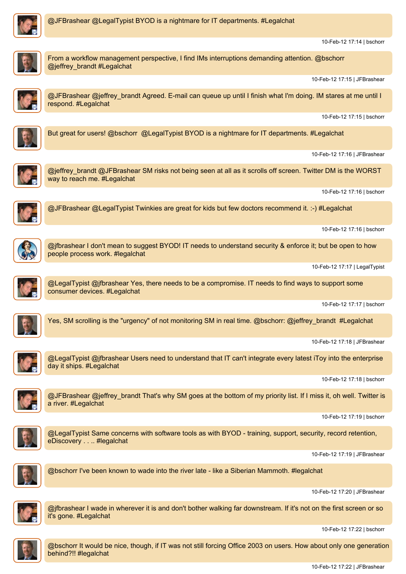

10-Feb-12 17:14 | bschorr



From <sup>a</sup> workflow management perspective, I find IMs interruptions demanding attention. @bschorr @jeffrey\_brandt #Legalchat

10-Feb-12 17:15 | JFBrashear



@JFBrashear @jeffrey\_brandt Agreed. E-mail can queue up until I finish what I'm doing. IM stares at me until I respond. #Legalchat

10-Feb-12 17:15 | bschorr



But great for users! @bschorr @LegalTypist BYOD is <sup>a</sup> nightmare for IT departments. #Legalchat

10-Feb-12 17:16 | JFBrashear



@jeffrey\_brandt @JFBrashear SM risks not being seen at all as it scrolls off screen. Twitter DM is the WORST way to reach me. #Legalchat

10-Feb-12 17:16 | bschorr



@JFBrashear @LegalTypist Twinkies are great for kids but few doctors recommend it. :-) #Legalchat

10-Feb-12 17:16 | bschorr



@jfbrashear I don't mean to suggest BYOD! IT needs to understand security & enforce it; but be open to how people process work. #legalchat

10-Feb-12 17:17 | LegalTypist



@LegalTypist @jfbrashear Yes, there needs to be <sup>a</sup> compromise. IT needs to find ways to support some consumer devices. #Legalchat

10-Feb-12 17:17 | bschorr



Yes, SM scrolling is the "urgency" of not monitoring SM in real time. @bschorr: @jeffrey\_brandt #Legalchat

10-Feb-12 17:18 | JFBrashear



@LegalTypist @jfbrashear Users need to understand that IT can't integrate every latest iToy into the enterprise day it ships. #Legalchat

10-Feb-12 17:18 | bschorr

@JFBrashear @jeffrey brandt That's why SM goes at the bottom of my priority list. If I miss it, oh well. Twitter is <sup>a</sup> river. #Legalchat

10-Feb-12 17:19 | bschorr



@LegalTypist Same concerns with software tools as with BYOD - training, support, security, record retention, eDiscovery . . .. #legalchat

10-Feb-12 17:19 | JFBrashear



@bschorr I've been known to wade into the river late - like <sup>a</sup> Siberian Mammoth. #legalchat

10-Feb-12 17:20 | JFBrashear



@jfbrashear I wade in wherever it is and don't bother walking far downstream. If it's not on the first screen or so it's gone. #Legalchat

10-Feb-12 17:22 | bschorr



@bschorr It would be nice, though, if IT was not still forcing Office 2003 on users. How about only one generation behind?!! #legalchat